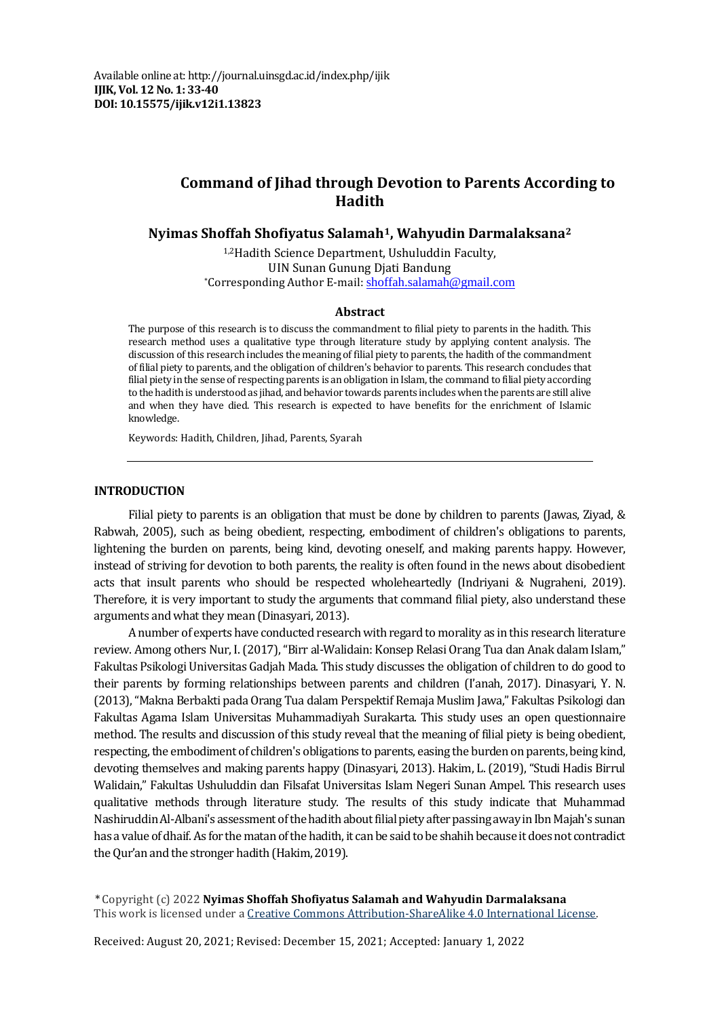# **Command of Jihad through Devotion to Parents According to Hadith**

**Nyimas Shoffah Shofiyatus Salamah1, Wahyudin Darmalaksana<sup>2</sup>**

1,2Hadith Science Department, Ushuluddin Faculty, UIN Sunan Gunung Djati Bandung \*Corresponding Author E-mail: [shoffah.salamah@gmail.com](mailto:shoffah.salamah@gmail.com)

#### **Abstract**

The purpose of this research is to discuss the commandment to filial piety to parents in the hadith. This research method uses a qualitative type through literature study by applying content analysis. The discussion of this research includes the meaning of filial piety to parents, the hadith of the commandment of filial piety to parents, and the obligation of children's behavior to parents. This research concludes that filial piety in the sense of respecting parents is an obligation in Islam, the command to filial piety according to the hadith is understood as jihad, and behavior towards parents includes when the parents are still alive and when they have died. This research is expected to have benefits for the enrichment of Islamic knowledge.

Keywords: Hadith, Children, Jihad, Parents, Syarah

#### **INTRODUCTION**

Filial piety to parents is an obligation that must be done by children to parents (Jawas, Ziyad, & Rabwah, 2005), such as being obedient, respecting, embodiment of children's obligations to parents, lightening the burden on parents, being kind, devoting oneself, and making parents happy. However, instead of striving for devotion to both parents, the reality is often found in the news about disobedient acts that insult parents who should be respected wholeheartedly (Indriyani & Nugraheni, 2019). Therefore, it is very important to study the arguments that command filial piety, also understand these arguments and what they mean (Dinasyari, 2013).

A number of experts have conducted research with regard to morality as in this research literature review. Among others Nur, I. (2017), "Birr al-Walidain: Konsep Relasi Orang Tua dan Anak dalam Islam," Fakultas Psikologi Universitas Gadjah Mada. This study discusses the obligation of children to do good to their parents by forming relationships between parents and children (I'anah, 2017). Dinasyari, Y. N. (2013), "Makna Berbakti pada Orang Tua dalam Perspektif Remaja Muslim Jawa," Fakultas Psikologi dan Fakultas Agama Islam Universitas Muhammadiyah Surakarta. This study uses an open questionnaire method. The results and discussion of this study reveal that the meaning of filial piety is being obedient, respecting, the embodiment of children's obligations to parents, easing the burden on parents, being kind, devoting themselves and making parents happy (Dinasyari, 2013). Hakim, L. (2019), "Studi Hadis Birrul Walidain," Fakultas Ushuluddin dan Filsafat Universitas Islam Negeri Sunan Ampel. This research uses qualitative methods through literature study. The results of this study indicate that Muhammad Nashiruddin Al-Albani's assessment of the hadith about filial piety after passing away in Ibn Majah's sunan has a value of dhaif. As for the matan of the hadith, it can be said to be shahih because it does not contradict the Qur'an and the stronger hadith (Hakim, 2019).

\* Copyright (c) 2022 **Nyimas Shoffah Shofiyatus Salamah and Wahyudin Darmalaksana** This work is licensed under a [Creative Commons Attribution-ShareAlike 4.0 International License.](https://creativecommons.org/licenses/by-sa/4.0/)

Received: August 20, 2021; Revised: December 15, 2021; Accepted: January 1, 2022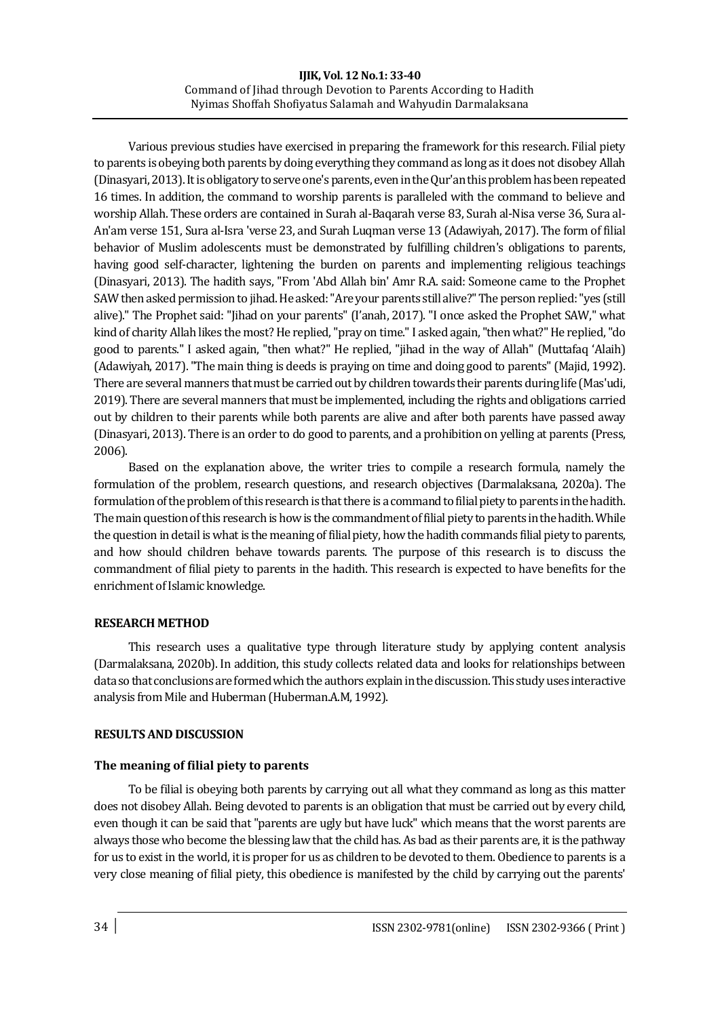### **IIIK, Vol. 12 No.1: 33-40** Command of Jihad through Devotion to Parents According to Hadith Nyimas Shoffah Shofiyatus Salamah and Wahyudin Darmalaksana

Various previous studies have exercised in preparing the framework for this research. Filial piety to parents is obeying both parents by doing everything they command as long as it does not disobey Allah (Dinasyari, 2013). It is obligatory to serve one's parents, even in the Qur'an this problem has been repeated 16 times. In addition, the command to worship parents is paralleled with the command to believe and worship Allah. These orders are contained in Surah al-Baqarah verse 83, Surah al-Nisa verse 36, Sura al-An'am verse 151, Sura al-Isra 'verse 23, and Surah Luqman verse 13 (Adawiyah, 2017). The form of filial behavior of Muslim adolescents must be demonstrated by fulfilling children's obligations to parents, having good self-character, lightening the burden on parents and implementing religious teachings (Dinasyari, 2013). The hadith says, "From 'Abd Allah bin' Amr R.A. said: Someone came to the Prophet SAW then asked permission to jihad. He asked: "Are your parents still alive?" The person replied: "yes (still alive)." The Prophet said: "Jihad on your parents" (I'anah, 2017). "I once asked the Prophet SAW," what kind of charity Allah likes the most? He replied, "pray on time." I asked again, "then what?" He replied, "do good to parents." I asked again, "then what?" He replied, "jihad in the way of Allah" (Muttafaq 'Alaih) (Adawiyah, 2017). "The main thing is deeds is praying on time and doing good to parents"(Majid, 1992). There are several manners that must be carried out by children towards their parents during life (Mas'udi, 2019). There are several manners that must be implemented, including the rights and obligations carried out by children to their parents while both parents are alive and after both parents have passed away (Dinasyari, 2013). There is an order to do good to parents, and a prohibition on yelling at parents (Press, 2006).

Based on the explanation above, the writer tries to compile a research formula, namely the formulation of the problem, research questions, and research objectives (Darmalaksana, 2020a). The formulation of the problem of this research is that there is a command to filial piety to parents in the hadith. The main question of this research is how is the commandment of filial piety to parents in the hadith. While the question in detail is what is the meaning of filial piety, how the hadith commands filial piety to parents, and how should children behave towards parents. The purpose of this research is to discuss the commandment of filial piety to parents in the hadith. This research is expected to have benefits for the enrichment of Islamic knowledge.

## **RESEARCH METHOD**

This research uses a qualitative type through literature study by applying content analysis (Darmalaksana, 2020b). In addition, this study collects related data and looks for relationships between data so that conclusions are formed which the authors explain in the discussion. This study uses interactive analysis from Mile and Huberman (Huberman.A.M, 1992).

# **RESULTS AND DISCUSSION**

# **The meaning of filial piety to parents**

To be filial is obeying both parents by carrying out all what they command as long as this matter does not disobey Allah. Being devoted to parents is an obligation that must be carried out by every child, even though it can be said that "parents are ugly but have luck" which means that the worst parents are always those who become the blessing law that the child has. As bad as their parents are, it is the pathway for us to exist in the world, it is proper for us as children to be devoted to them. Obedience to parents is a very close meaning of filial piety, this obedience is manifested by the child by carrying out the parents'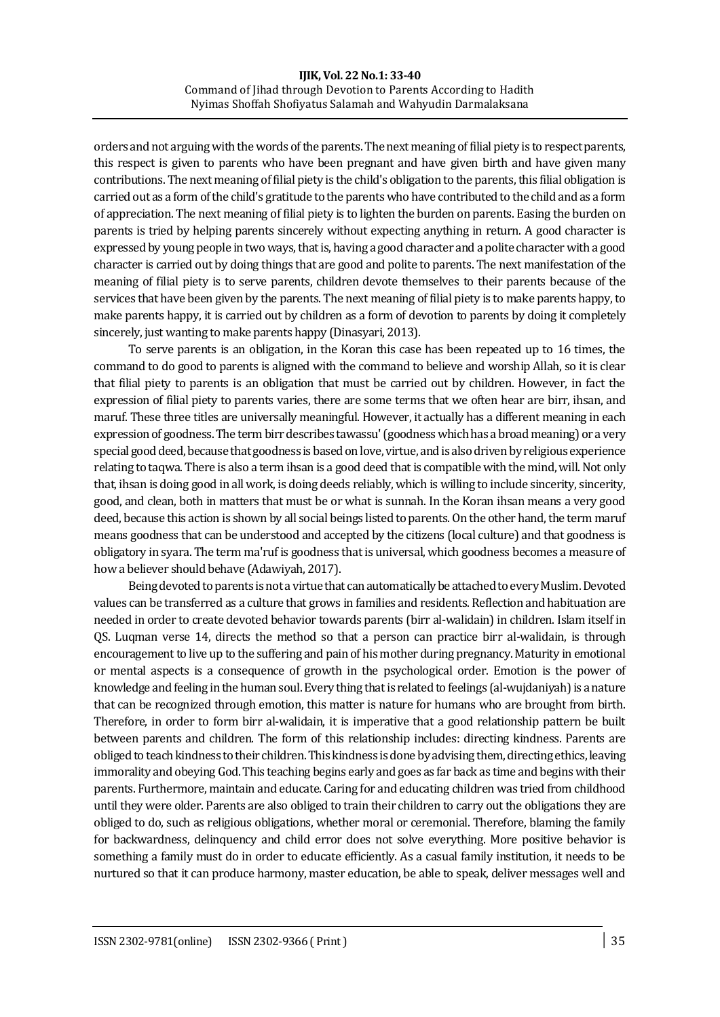#### **IIIK, Vol. 22 No.1: 33-40** Command of Jihad through Devotion to Parents According to Hadith Nyimas Shoffah Shofiyatus Salamah and Wahyudin Darmalaksana

orders and not arguing with the words of the parents. The next meaning of filial piety is to respect parents, this respect is given to parents who have been pregnant and have given birth and have given many contributions. The next meaning of filial piety is the child's obligation to the parents, this filial obligation is carried out as a form of the child's gratitude to the parents who have contributed to the child and as a form of appreciation. The next meaning of filial piety is to lighten the burden on parents. Easing the burden on parents is tried by helping parents sincerely without expecting anything in return. A good character is expressed by young people in two ways, that is, having a good character and a polite character with a good character is carried out by doing things that are good and polite to parents. The next manifestation of the meaning of filial piety is to serve parents, children devote themselves to their parents because of the services that have been given by the parents. The next meaning of filial piety is to make parents happy, to make parents happy, it is carried out by children as a form of devotion to parents by doing it completely sincerely, just wanting to make parents happy (Dinasyari, 2013).

To serve parents is an obligation, in the Koran this case has been repeated up to 16 times, the command to do good to parents is aligned with the command to believe and worship Allah, so it is clear that filial piety to parents is an obligation that must be carried out by children. However, in fact the expression of filial piety to parents varies, there are some terms that we often hear are birr, ihsan, and maruf. These three titles are universally meaningful. However, it actually has a different meaning in each expression of goodness. The term birr describes tawassu' (goodness which has a broad meaning) or a very special good deed, because that goodness is based on love, virtue, and is also driven by religious experience relating to taqwa. There is also a term ihsan is a good deed that is compatible with the mind, will. Not only that, ihsan is doing good in all work, is doing deeds reliably, which is willing to include sincerity, sincerity, good, and clean, both in matters that must be or what is sunnah. In the Koran ihsan means a very good deed, because this action is shown by all social beings listed to parents. On the other hand, the term maruf means goodness that can be understood and accepted by the citizens (local culture) and that goodness is obligatory in syara. The term ma'ruf is goodness that is universal, which goodness becomes a measure of how a believer should behave (Adawiyah, 2017).

Being devoted to parents is not a virtue that can automatically be attached to every Muslim. Devoted values can be transferred as a culture that grows in families and residents. Reflection and habituation are needed in order to create devoted behavior towards parents (birr al-walidain) in children. Islam itself in QS. Luqman verse 14, directs the method so that a person can practice birr al-walidain, is through encouragement to live up to the suffering and pain of his mother during pregnancy. Maturity in emotional or mental aspects is a consequence of growth in the psychological order. Emotion is the power of knowledge and feeling in the human soul. Every thing that is related to feelings (al-wujdaniyah) is a nature that can be recognized through emotion, this matter is nature for humans who are brought from birth. Therefore, in order to form birr al-walidain, it is imperative that a good relationship pattern be built between parents and children. The form of this relationship includes: directing kindness. Parents are obliged to teach kindness to their children. This kindness is done by advising them, directing ethics, leaving immorality and obeying God. This teaching begins early and goes as far back as time and begins with their parents. Furthermore, maintain and educate. Caring for and educating children was tried from childhood until they were older. Parents are also obliged to train their children to carry out the obligations they are obliged to do, such as religious obligations, whether moral or ceremonial. Therefore, blaming the family for backwardness, delinquency and child error does not solve everything. More positive behavior is something a family must do in order to educate efficiently. As a casual family institution, it needs to be nurtured so that it can produce harmony, master education, be able to speak, deliver messages well and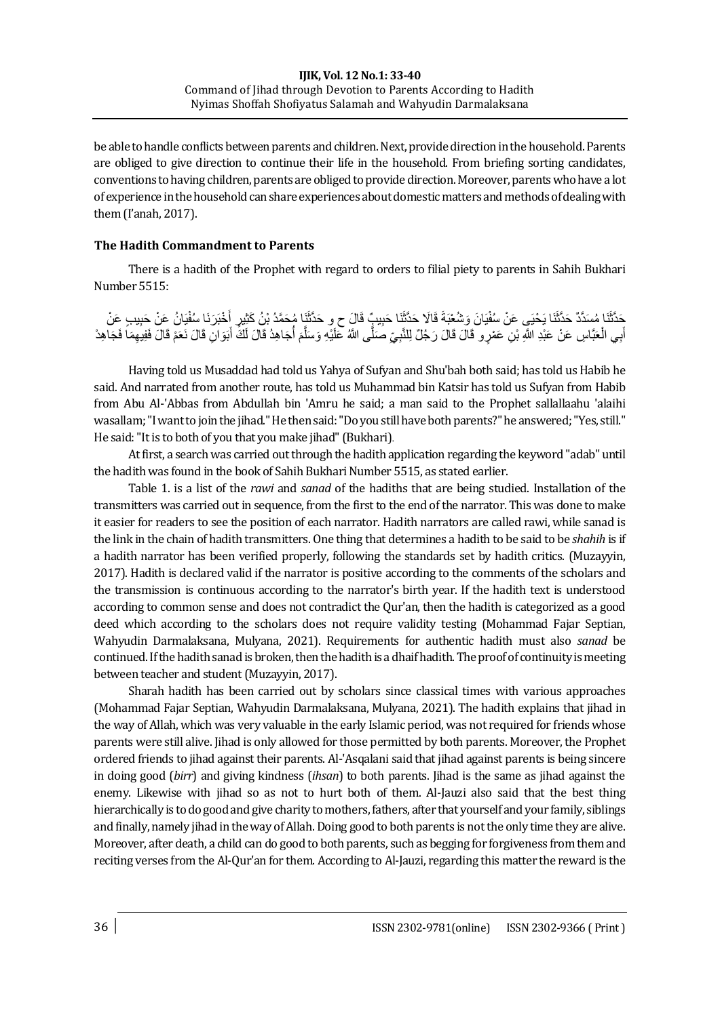be able to handle conflicts between parents and children. Next, provide direction in the household. Parents are obliged to give direction to continue their life in the household. From briefing sorting candidates, conventions to having children, parents are obliged to provide direction. Moreover, parentswho have a lot of experience in the household can share experiences about domestic matters and methods of dealing with them (I'anah, 2017).

## **The Hadith Commandment to Parents**

There is a hadith of the Prophet with regard to orders to filial piety to parents in Sahih Bukhari Number 5515:

حَدَّثَنَا مُسَدَّدٌ حَدَّثَنَا يَحْيَي عَنْ سُفْيَانَ وَشُعْبَةَ قَالَا حَذَّثَنَا حَبِيبٍِّ قَالَ ح و حَدَّثَنَا مُحَمَّدُ بْنُ كَثِيرٍ أَخْبَرَنَا سُفْيَانُ عَنْ حَبِيبٍ عَنْ َ أَبِي الْعَبَّاسِ عَنْ عَبْدِ اللَّهِ بْنِ عَمْرٍ و قَالَ قَالَ رَجُلٌ لِلنَّبِيِّ صَلَّى اللَّهُ عَلَيْهِ وَسَلَّمَ أُجَاهِدُ قَالَ لَكَ أَبَوَانِ قَالَ نَعَمْ قَالَ فَفِيهِمَا فَجَاهِدْ ْ َ ا<br>ا نَ<br>م َّ َ

Having told us Musaddad had told us Yahya of Sufyan and Shu'bah both said; has told us Habib he said. And narrated from another route, has told us Muhammad bin Katsir has told us Sufyan from Habib from Abu Al-'Abbas from Abdullah bin 'Amru he said; a man said to the Prophet sallallaahu 'alaihi wasallam; "I want to join the jihad." He then said: "Do you still have both parents?" he answered; "Yes, still." He said: "It is to both of you that you make jihad" (Bukhari).

At first, a search was carried out through the hadith application regarding the keyword "adab" until the hadith was found in the book of Sahih Bukhari Number 5515, as stated earlier.

Table 1. is a list of the *rawi* and *sanad* of the hadiths that are being studied. Installation of the transmitters was carried out in sequence, from the first to the end of the narrator. This was done to make it easier for readers to see the position of each narrator. Hadith narrators are called rawi, while sanad is the link in the chain of hadith transmitters. One thing that determines a hadith to be said to be *shahih* is if a hadith narrator has been verified properly, following the standards set by hadith critics. (Muzayyin, 2017). Hadith is declared valid if the narrator is positive according to the comments of the scholars and the transmission is continuous according to the narrator's birth year. If the hadith text is understood according to common sense and does not contradict the Qur'an, then the hadith is categorized as a good deed which according to the scholars does not require validity testing (Mohammad Fajar Septian, Wahyudin Darmalaksana, Mulyana, 2021). Requirements for authentic hadith must also *sanad* be continued. If the hadith sanad is broken, then the hadith is a dhaif hadith. The proof of continuity is meeting between teacher and student (Muzayyin, 2017).

Sharah hadith has been carried out by scholars since classical times with various approaches (Mohammad Fajar Septian, Wahyudin Darmalaksana, Mulyana, 2021). The hadith explains that jihad in the way of Allah, which was very valuable in the early Islamic period, was not required for friends whose parents were still alive. Jihad is only allowed for those permitted by both parents. Moreover, the Prophet ordered friends to jihad against their parents. Al-'Asqalani said that jihad against parents is being sincere in doing good (*birr*) and giving kindness (*ihsan*) to both parents. Jihad is the same as jihad against the enemy. Likewise with jihad so as not to hurt both of them. Al-Jauzi also said that the best thing hierarchically is to do good and give charity to mothers, fathers, after that yourself and your family, siblings and finally, namely jihad in the way of Allah. Doing good to both parents is not the only time they are alive. Moreover, after death, a child can do good to both parents, such as begging for forgiveness from them and reciting verses from the Al-Qur'an for them. According to Al-Jauzi, regarding this matter the reward is the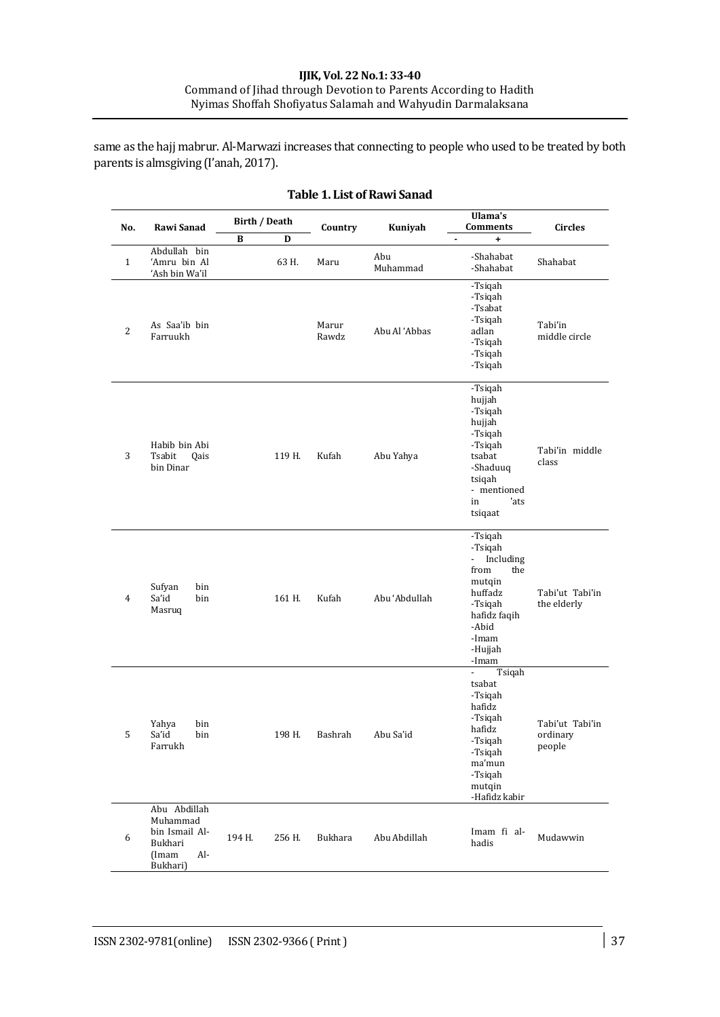#### **IJIK, Vol. 22 No.1: 33-40** Command of Jihad through Devotion to Parents According to Hadith Nyimas Shoffah Shofiyatus Salamah and Wahyudin Darmalaksana

same as the hajj mabrur. Al-Marwazi increases that connecting to people who used to be treated by both parents is almsgiving (I'anah, 2017).

| No.            | Rawi Sanad                                                                        | Birth / Death |            | Country        | Kuniyah         | Ulama's<br><b>Comments</b>                                                                                                                         | <b>Circles</b>                        |
|----------------|-----------------------------------------------------------------------------------|---------------|------------|----------------|-----------------|----------------------------------------------------------------------------------------------------------------------------------------------------|---------------------------------------|
| $\mathbf{1}$   | Abdullah bin<br>'Amru bin Al<br>'Ash bin Wa'il                                    | В             | D<br>63 H. | Maru           | Abu<br>Muhammad | $\blacksquare$<br>+<br>-Shahabat<br>-Shahabat                                                                                                      | Shahabat                              |
| $\overline{2}$ | As Saa'ib bin<br>Farruukh                                                         |               |            | Marur<br>Rawdz | Abu Al 'Abbas   | -Tsiqah<br>-Tsiqah<br>-Tsabat<br>-Tsiqah<br>adlan<br>-Tsigah<br>-Tsiqah<br>-Tsiqah                                                                 | Tabi'in<br>middle circle              |
| 3              | Habib bin Abi<br>Tsabit<br>Qais<br>bin Dinar                                      |               | 119 H.     | Kufah          | Abu Yahya       | -Tsiqah<br>hujjah<br>-Tsiqah<br>hujjah<br>-Tsiqah<br>-Tsiqah<br>tsabat<br>-Shaduuq<br>tsiqah<br>- mentioned<br>'ats<br>in<br>tsiqaat               | Tabi'in middle<br>class               |
| 4              | Sufyan<br>bin<br>Sa'id<br>bin<br>Masruq                                           |               | 161 H.     | Kufah          | Abu 'Abdullah   | -Tsiqah<br>-Tsiqah<br>Including<br>$\sim$<br>from<br>the<br>mutqin<br>huffadz<br>-Tsiqah<br>hafidz faqih<br>-Abid<br>-Imam<br>-Hujjah<br>-Imam     | Tabi'ut Tabi'in<br>the elderly        |
| 5              | Yahya<br>bin<br>Sa'id<br>bin<br>Farrukh                                           |               | 198 H.     | Bashrah        | Abu Sa'id       | Tsiqah<br>$\blacksquare$<br>tsabat<br>-Tsiqah<br>hafidz<br>-Tsiqah<br>hafidz<br>-Tsiqah<br>-Tsiqah<br>ma'mun<br>-Tsiqah<br>mutqin<br>-Hafidz kabir | Tabi'ut Tabi'in<br>ordinary<br>people |
| 6              | Abu Abdillah<br>Muhammad<br>bin Ismail Al-<br>Bukhari<br>(Imam<br>Al-<br>Bukhari) | 194 H.        | 256 H.     | Bukhara        | Abu Abdillah    | Imam fi al-<br>hadis                                                                                                                               | Mudawwin                              |

## **Table 1. List of Rawi Sanad**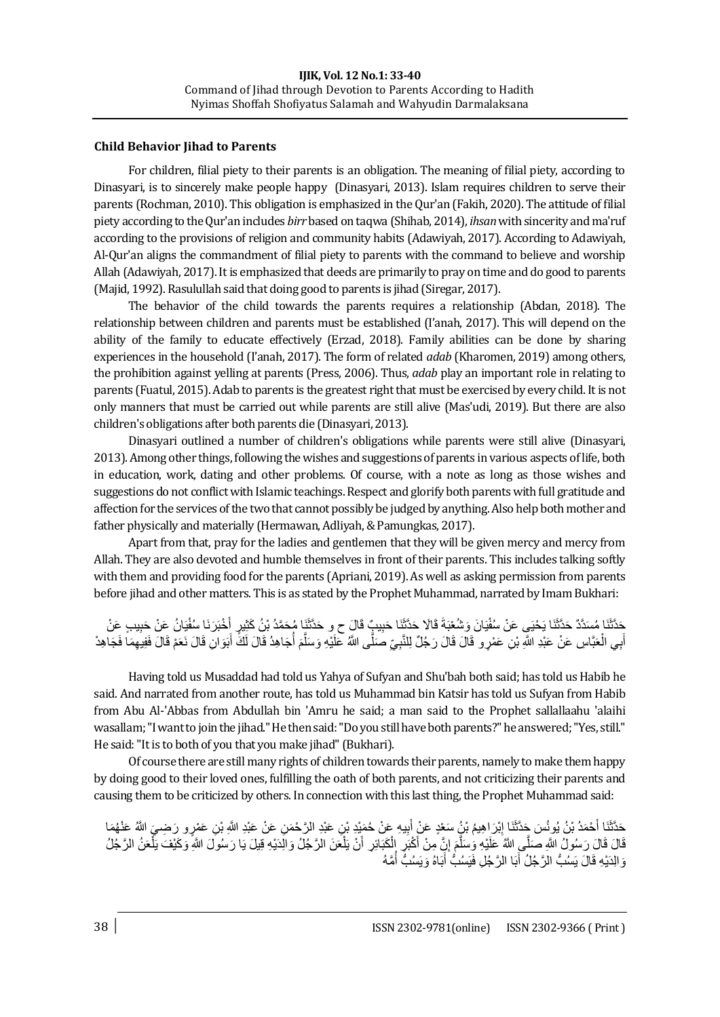## **Child Behavior Jihad to Parents**

For children, filial piety to their parents is an obligation. The meaning of filial piety, according to Dinasyari, is to sincerely make people happy (Dinasyari, 2013). Islam requires children to serve their parents (Rochman, 2010). This obligation is emphasized in the Qur'an (Fakih, 2020). The attitude of filial piety according to the Qur'an includes *birr* based on taqwa (Shihab, 2014), *ihsan* with sincerity and ma'ruf according to the provisions of religion and community habits (Adawiyah, 2017). According to Adawiyah, Al-Qur'an aligns the commandment of filial piety to parents with the command to believe and worship Allah (Adawiyah, 2017). It is emphasized that deeds are primarily to pray on time and do good to parents (Majid, 1992). Rasulullah said that doing good to parents is jihad (Siregar, 2017).

The behavior of the child towards the parents requires a relationship (Abdan, 2018). The relationship between children and parents must be established (I'anah, 2017). This will depend on the ability of the family to educate effectively (Erzad, 2018). Family abilities can be done by sharing experiences in the household (I'anah, 2017). The form of related *adab* (Kharomen, 2019) among others, the prohibition against yelling at parents (Press, 2006). Thus, *adab* play an important role in relating to parents (Fuatul, 2015). Adab to parents is the greatest right that must be exercised by every child. It is not only manners that must be carried out while parents are still alive (Mas'udi, 2019). But there are also children's obligations after both parents die (Dinasyari, 2013).

Dinasyari outlined a number of children's obligations while parents were still alive (Dinasyari, 2013). Among other things, following the wishes and suggestions of parents in various aspects of life, both in education, work, dating and other problems. Of course, with a note as long as those wishes and suggestions do not conflict with Islamic teachings. Respect and glorify both parents with full gratitude and affection for the services of the two that cannot possibly be judged by anything. Also help both mother and father physically and materially (Hermawan, Adliyah, & Pamungkas, 2017).

Apart from that, pray for the ladies and gentlemen that they will be given mercy and mercy from Allah. They are also devoted and humble themselves in front of their parents. This includes talking softly with them and providing food for the parents (Apriani, 2019). As well as asking permission from parents before jihad and other matters. This is as stated by the Prophet Muhammad, narrated by Imam Bukhari:

حَدَّثَنَا مُسدَّدٌ حَدَّثَنَا يَحْيَى عَنْ سُفْيَانَ وَشُغْبَةَ قَالَا حَذَّثَنَا حَبِيبٌٍ قَالَ ح و حَدَّثَنَا مُحَمَّدُ بْنُ كَثِيرٍ أَخْبَرَنَا سُفْيَانُ عَنْ حَبِيبٍ عَنْ َ أَبِي الْعَبَّاسِ عَنْ عَبْدِ اللَّهِ بْنِ عَمْرٍ و قَالَ قَالَ رَجُلٌ لِلنَّبِيِّ صَلَّى اللَّهُ عَلَيْهِ وَسَلَّمَ أُجَاهِدُ قَالَ لَكَ أَبَوَانِ قَالَ نَعَمْ قَالَ فَفِيهِمَا فَجَاهِدْ ْ َ َ ا<br>ا َ َّ

Having told us Musaddad had told us Yahya of Sufyan and Shu'bah both said; has told us Habib he said. And narrated from another route, has told us Muhammad bin Katsir has told us Sufyan from Habib from Abu Al-'Abbas from Abdullah bin 'Amru he said; a man said to the Prophet sallallaahu 'alaihi wasallam; "I want to join the jihad." He then said: "Do you still have both parents?" he answered; "Yes, still." He said: "It is to both of you that you make jihad" (Bukhari).

Of course there are still many rights of children towards their parents, namely to make them happy by doing good to their loved ones, fulfilling the oath of both parents, and not criticizing their parents and causing them to be criticized by others. In connection with this last thing, the Prophet Muhammad said:

حَدَّثَنَا أَحْمَدُ بْنُ يُونُسَ جَدَّثَنَا إِبْرَاهِيمُ بْنُ سَعْدٍ عَنْ أُبِيهِ عَنْ حُمَيْدِ بْنِ عَبْدِ الرَّحْمَنِ عَنْ عَبْدِ اللَّهِ بْنِ عَمْرِ وِ رَضِيَ اللَّهُ عَنْهُمَا<br>مَدِينَ بَن حَمَّلِ بِنَ عَبِّدِ الْمَدِّ َ ِ َ قَالَ قَالَ رَسُولُ اللَّهِ صَلِّي اللَّهُ عَلَيْهِ وَسَلَّمَ إِنِّ مِنْ أَكْبَرٍ إِلْكَبَائِرِ أَنْ يَلْعَنَ الرَّجُلُ وَالْدَيْهِ قِيلَ يَا رَسُولَ اللَّهِ وَكَيْفَ يَلْعَنُ الرَّجُلُ ْ َ ْ ِ ز<br>أ َّ ْ نَ الِدَيْهِ قَالَ يَسُبُّ الرَّجُلُ أَبَا الرَّجُلِ فَيَسُبُّ أَبَاهُ وَيَسُبُّ أُمَّهُ ا<br>ا َ َ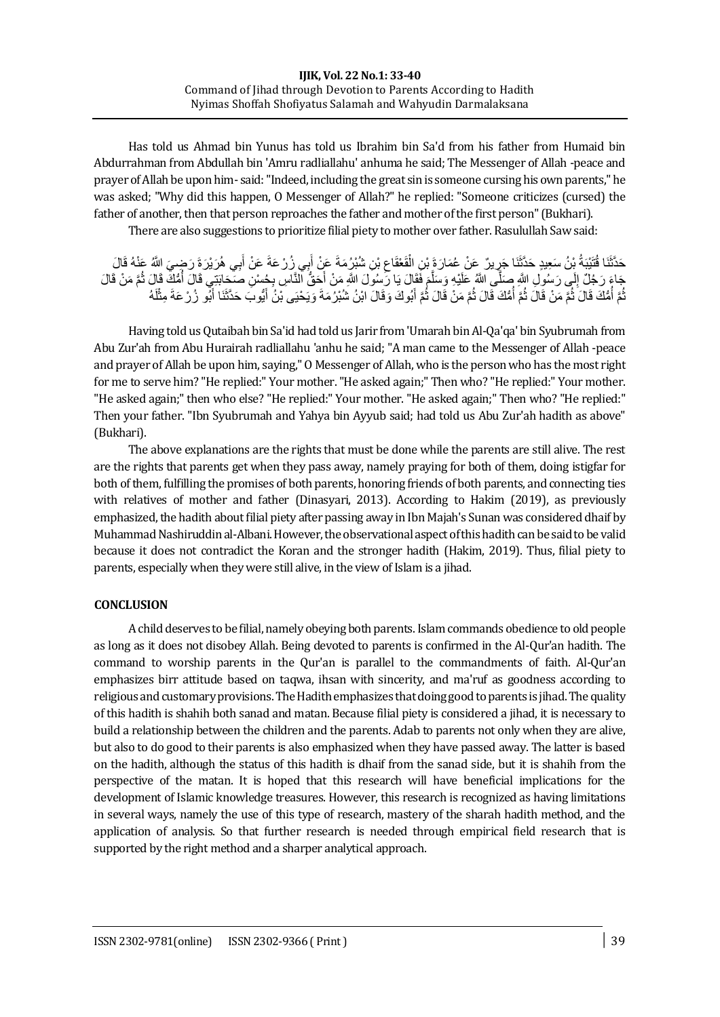Has told us Ahmad bin Yunus has told us Ibrahim bin Sa'd from his father from Humaid bin Abdurrahman from Abdullah bin 'Amru radliallahu' anhuma he said; The Messenger of Allah -peace and prayer of Allah be upon him- said: "Indeed, including the great sin is someone cursing his own parents," he was asked; "Why did this happen, O Messenger of Allah?" he replied: "Someone criticizes (cursed) the father of another, then that person reproaches the father and mother of the first person" (Bukhari).

There are also suggestions to prioritize filial piety to mother over father. Rasulullah Saw said:

#### حَدَّثَنَا قُتُبْبَةُ بِّنُ سَعِيدٍ حَدَّثَنَا جَرِيرٌ ۚ عَنْ عُمَارَةَ بِنِ الْفَعْقَاعِ بِّنِ شُبُرُ مَةَ عَنْ أَبِي زُرْ عَةَ عَنْ أَبِي هُرَيْرَةَ رَضِيَ اللَّهُ عَذْهُ قَالَ<br>منظمة اللَّهُ بِيَّةٍ مِنْ الْمَسْلَمَ الْ َ َ ِ ْ جَاءَ رَجُلٌ إِلَى رَسُولِ اللَّهِ صَلَّى اللَّهُ عَلَيْهِ وَسَلَّمَ فَقَالَ يَا رَسُولَ اللَّهِ مَنْ أَحَقُّ النَّاسِ بِجُسْنِ صَحَابَتِي قَالَ أُمُّكَ قَالَ ثُمَّ مَنْ قَالَ<br>وَلَّى الْبَيْنَ الْبَيْنَ وَيَزِيدُوا فَلَا ין<br>≀ ا<br>ا َ َ َّ نُّمَّ أَمُّكَ قَالَ ثُمَّ مَنْ قَالَ ثُمَّ أَمُّكَ قَالَ ثُمَّ مَنْ قَالَ ثُمَّ أَبُوكَ وَقَالَ ابْنُ شُبْرُ مَةَ وَيَحْيَى بْنُ أَيُّوبَ حَدَّثَنَا أَبُو زُرْعَةَ مِثْلَهُ َ ا<br>ا ُ ا:<br>ا ֧֖֖֖֖֖֖֖֚֚֚֚֚֚֚֚֚֚֚֚֚֘֝֟֘֝֬**֚** َ َ

Having told us Qutaibah bin Sa'id had told us Jarir from 'Umarah bin Al-Qa'qa' bin Syubrumah from Abu Zur'ah from Abu Hurairah radliallahu 'anhu he said; "A man came to the Messenger of Allah -peace and prayer of Allah be upon him, saying," O Messenger of Allah, who is the person who has the most right for me to serve him? "He replied:" Your mother. "He asked again;" Then who? "He replied:" Your mother. "He asked again;" then who else? "He replied:" Your mother. "He asked again;" Then who? "He replied:" Then your father. "Ibn Syubrumah and Yahya bin Ayyub said; had told us Abu Zur'ah hadith as above" (Bukhari).

The above explanations are the rights that must be done while the parents are still alive. The rest are the rights that parents get when they pass away, namely praying for both of them, doing istigfar for both of them, fulfilling the promises of both parents, honoring friends of both parents, and connecting ties with relatives of mother and father (Dinasyari, 2013). According to Hakim (2019), as previously emphasized, the hadith about filial piety after passing away in Ibn Majah's Sunan was considered dhaif by Muhammad Nashiruddin al-Albani. However, the observational aspect of this hadith can be said to be valid because it does not contradict the Koran and the stronger hadith (Hakim, 2019). Thus, filial piety to parents, especially when they were still alive, in the view of Islam is a jihad.

# **CONCLUSION**

A child deserves to be filial, namely obeying both parents. Islam commands obedience to old people as long as it does not disobey Allah. Being devoted to parents is confirmed in the Al-Qur'an hadith. The command to worship parents in the Qur'an is parallel to the commandments of faith. Al-Qur'an emphasizes birr attitude based on taqwa, ihsan with sincerity, and ma'ruf as goodness according to religious and customary provisions. The Hadith emphasizes that doing good to parents is jihad. The quality of this hadith is shahih both sanad and matan. Because filial piety is considered a jihad, it is necessary to build a relationship between the children and the parents. Adab to parents not only when they are alive, but also to do good to their parents is also emphasized when they have passed away. The latter is based on the hadith, although the status of this hadith is dhaif from the sanad side, but it is shahih from the perspective of the matan. It is hoped that this research will have beneficial implications for the development of Islamic knowledge treasures. However, this research is recognized as having limitations in several ways, namely the use of this type of research, mastery of the sharah hadith method, and the application of analysis. So that further research is needed through empirical field research that is supported by the right method and a sharper analytical approach.